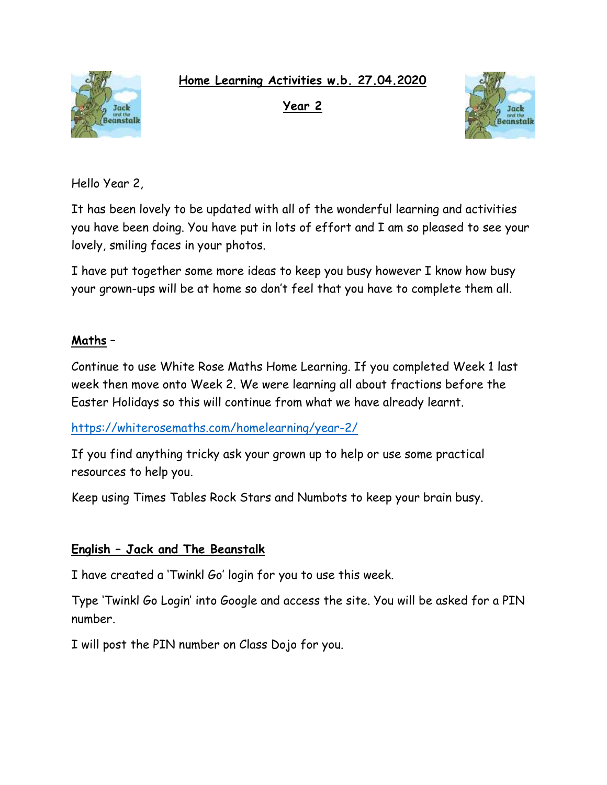**Home Learning Activities w.b. 27.04.2020**



**Year 2** 



Hello Year 2,

It has been lovely to be updated with all of the wonderful learning and activities you have been doing. You have put in lots of effort and I am so pleased to see your lovely, smiling faces in your photos.

I have put together some more ideas to keep you busy however I know how busy your grown-ups will be at home so don't feel that you have to complete them all.

# **Maths** –

Continue to use White Rose Maths Home Learning. If you completed Week 1 last week then move onto Week 2. We were learning all about fractions before the Easter Holidays so this will continue from what we have already learnt.

<https://whiterosemaths.com/homelearning/year-2/>

If you find anything tricky ask your grown up to help or use some practical resources to help you.

Keep using Times Tables Rock Stars and Numbots to keep your brain busy.

## **English – Jack and The Beanstalk**

I have created a 'Twinkl Go' login for you to use this week.

Type 'Twinkl Go Login' into Google and access the site. You will be asked for a PIN number.

I will post the PIN number on Class Dojo for you.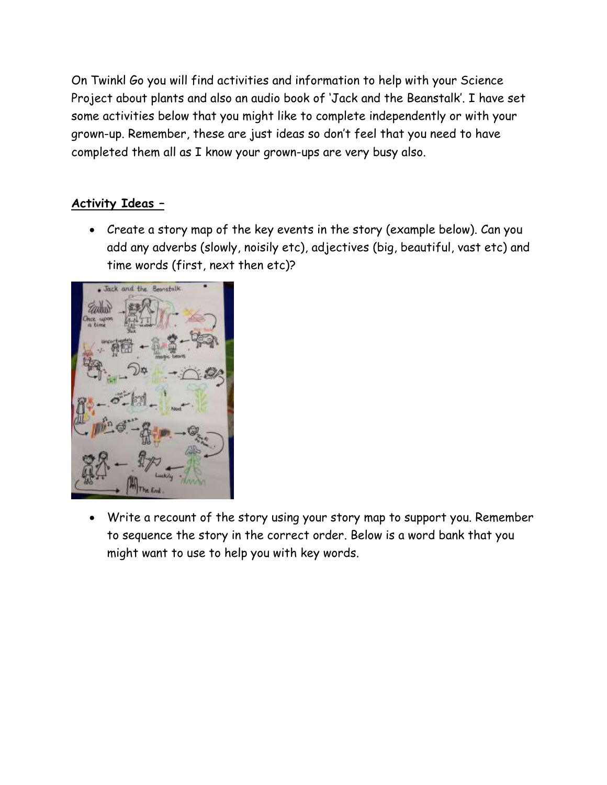On Twinkl Go you will find activities and information to help with your Science Project about plants and also an audio book of 'Jack and the Beanstalk'. I have set some activities below that you might like to complete independently or with your grown-up. Remember, these are just ideas so don't feel that you need to have completed them all as I know your grown-ups are very busy also.

# **Activity Ideas –**

• Create a story map of the key events in the story (example below). Can you add any adverbs (slowly, noisily etc), adjectives (big, beautiful, vast etc) and time words (first, next then etc)?



• Write a recount of the story using your story map to support you. Remember to sequence the story in the correct order. Below is a word bank that you might want to use to help you with key words.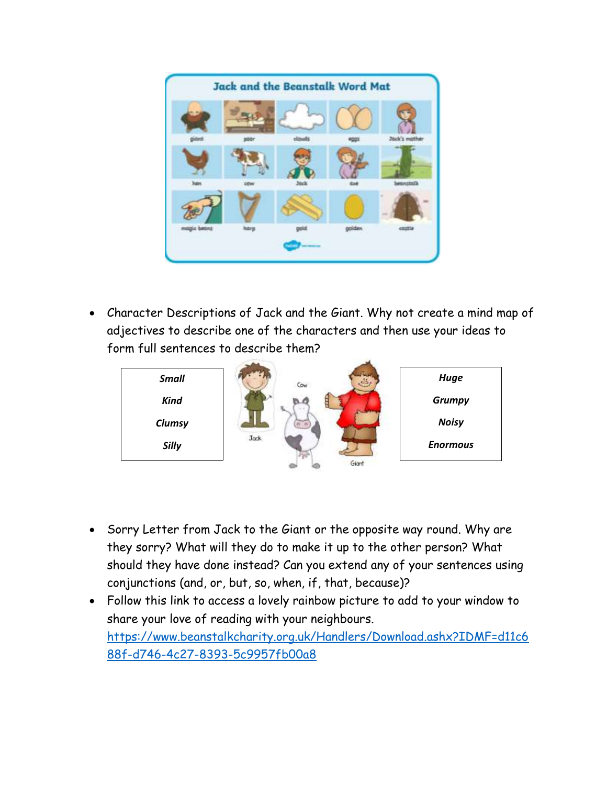

• Character Descriptions of Jack and the Giant. Why not create a mind map of adjectives to describe one of the characters and then use your ideas to form full sentences to describe them?



- Sorry Letter from Jack to the Giant or the opposite way round. Why are they sorry? What will they do to make it up to the other person? What should they have done instead? Can you extend any of your sentences using conjunctions (and, or, but, so, when, if, that, because)?
- Follow this link to access a lovely rainbow picture to add to your window to share your love of reading with your neighbours. [https://www.beanstalkcharity.org.uk/Handlers/Download.ashx?IDMF=d11c6](https://www.beanstalkcharity.org.uk/Handlers/Download.ashx?IDMF=d11c688f-d746-4c27-8393-5c9957fb00a8) [88f-d746-4c27-8393-5c9957fb00a8](https://www.beanstalkcharity.org.uk/Handlers/Download.ashx?IDMF=d11c688f-d746-4c27-8393-5c9957fb00a8)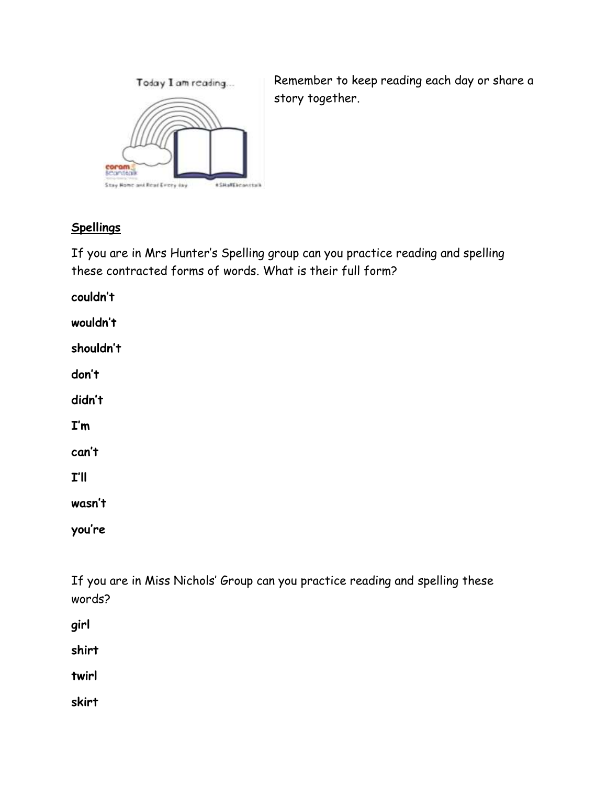

Remember to keep reading each day or share a story together.

# **Spellings**

If you are in Mrs Hunter's Spelling group can you practice reading and spelling these contracted forms of words. What is their full form?

**couldn't wouldn't shouldn't don't didn't I'm can't I'll wasn't**

**you're**

If you are in Miss Nichols' Group can you practice reading and spelling these words?

**girl**

**shirt**

**twirl**

**skirt**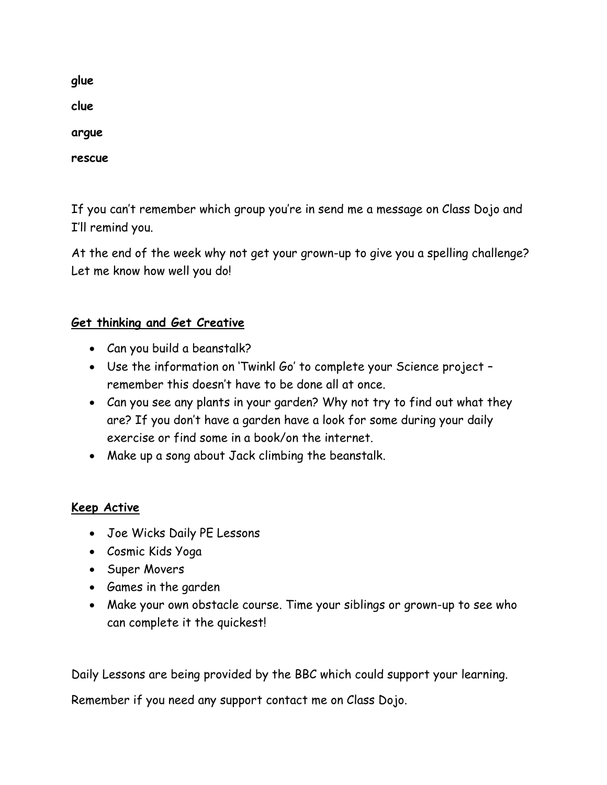**glue clue argue rescue**

If you can't remember which group you're in send me a message on Class Dojo and I'll remind you.

At the end of the week why not get your grown-up to give you a spelling challenge? Let me know how well you do!

# **Get thinking and Get Creative**

- Can you build a beanstalk?
- Use the information on 'Twinkl Go' to complete your Science project remember this doesn't have to be done all at once.
- Can you see any plants in your garden? Why not try to find out what they are? If you don't have a garden have a look for some during your daily exercise or find some in a book/on the internet.
- Make up a song about Jack climbing the beanstalk.

## **Keep Active**

- Joe Wicks Daily PE Lessons
- Cosmic Kids Yoga
- Super Movers
- Games in the garden
- Make your own obstacle course. Time your siblings or grown-up to see who can complete it the quickest!

Daily Lessons are being provided by the BBC which could support your learning.

Remember if you need any support contact me on Class Dojo.